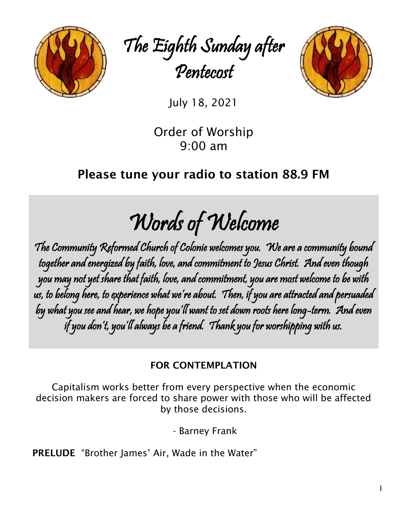

The Eighth Sunday after Pentecost



July 18, 2021

Order of Worship 9:00 am

# Please tune your radio to station 88.9 FM

Words of Welcome

The Community Reformed Church of Colonie welcomes you. We are a community bound together and energized by faith, love, and commitment to Jesus Christ. And even though you may not yet share that faith, love, and commitment, you are most welcome to be with us, to belong here, to experience what we're about. Then, if you are attracted and persuaded by what you see and hear, we hope you'll want to set down roots here long-term. And even if you don't, you'll always be a friend. Thank you for worshipping with us.

## FOR CONTEMPLATION

Capitalism works better from every perspective when the economic decision makers are forced to share power with those who will be affected by those decisions.

- [Barney Frank](https://www.quotemaster.org/author/Barney+Frank)

PRELUDE "Brother James' Air, Wade in the Water"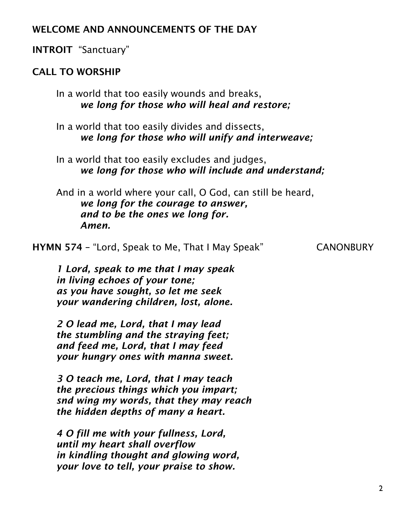## WELCOME AND ANNOUNCEMENTS OF THE DAY

INTROIT "Sanctuary"

## CALL TO WORSHIP

In a world that too easily wounds and breaks, *we long for those who will heal and restore;*

In a world that too easily divides and dissects, *we long for those who will unify and interweave;*

In a world that too easily excludes and judges, *we long for those who will include and understand;*

And in a world where your call, O God, can still be heard, *we long for the courage to answer, and to be the ones we long for. Amen.*

HYMN 574 – "Lord, Speak to Me, That I May Speak" CANONBURY

*1 Lord, speak to me that I may speak in living echoes of your tone; as you have sought, so let me seek your wandering children, lost, alone.*

*2 O lead me, Lord, that I may lead the stumbling and the straying feet; and feed me, Lord, that I may feed your hungry ones with manna sweet.*

*3 O teach me, Lord, that I may teach the precious things which you impart; snd wing my words, that they may reach the hidden depths of many a heart.*

*4 O fill me with your fullness, Lord, until my heart shall overflow in kindling thought and glowing word, your love to tell, your praise to show.*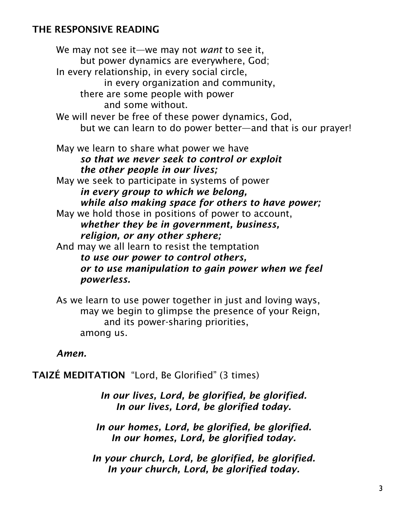## THE RESPONSIVE READING

We may not see it—we may not *want* to see it, but power dynamics are everywhere, God; In every relationship, in every social circle, in every organization and community, there are some people with power and some without. We will never be free of these power dynamics, God, but we can learn to do power better—and that is our prayer! May we learn to share what power we have *so that we never seek to control or exploit the other people in our lives;* May we seek to participate in systems of power *in every group to which we belong, while also making space for others to have power;* May we hold those in positions of power to account, *whether they be in government, business, religion, or any other sphere;* And may we all learn to resist the temptation *to use our power to control others, or to use manipulation to gain power when we feel powerless.*

As we learn to use power together in just and loving ways, may we begin to glimpse the presence of your Reign, and its power-sharing priorities, among us.

#### *Amen.*

TAIZÉ MEDITATION "Lord, Be Glorified" (3 times)

*In our lives, Lord, be glorified, be glorified. In our lives, Lord, be glorified today.*

*In our homes, Lord, be glorified, be glorified. In our homes, Lord, be glorified today.*

*In your church, Lord, be glorified, be glorified. In your church, Lord, be glorified today.*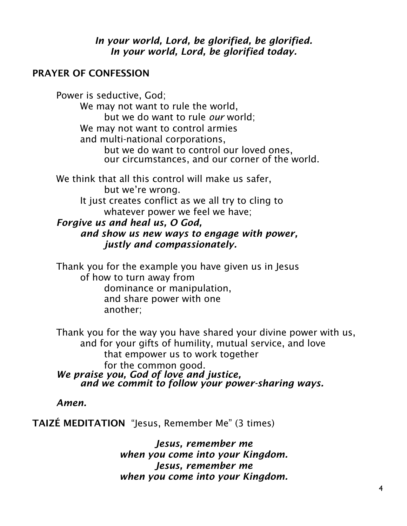*In your world, Lord, be glorified, be glorified. In your world, Lord, be glorified today.*

## PRAYER OF CONFESSION

Power is seductive, God; We may not want to rule the world, but we do want to rule *our* world; We may not want to control armies and multi-national corporations, but we do want to control our loved ones, our circumstances, and our corner of the world.

We think that all this control will make us safer. but we're wrong. It just creates conflict as we all try to cling to whatever power we feel we have; *Forgive us and heal us, O God,*

## *and show us new ways to engage with power, justly and compassionately.*

Thank you for the example you have given us in Jesus of how to turn away from dominance or manipulation, and share power with one another;

Thank you for the way you have shared your divine power with us, and for your gifts of humility, mutual service, and love that empower us to work together for the common good. *We praise you, God of love and justice, and we commit to follow your power-sharing ways.*

#### *Amen.*

TAIZÉ MEDITATION "Jesus, Remember Me" (3 times)

*Jesus, remember me when you come into your Kingdom. Jesus, remember me when you come into your Kingdom.*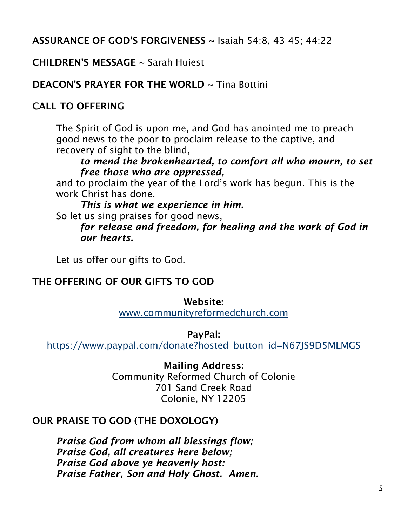## ASSURANCE OF GOD'S FORGIVENESS ~ Isaiah 54:8, 43-45; 44:22

## CHILDREN'S MESSAGE ~ Sarah Huiest

## DEACON'S PRAYER FOR THE WORLD ~ Tina Bottini

## CALL TO OFFERING

The Spirit of God is upon me, and God has anointed me to preach good news to the poor to proclaim release to the captive, and recovery of sight to the blind,

#### *to mend the brokenhearted, to comfort all who mourn, to set free those who are oppressed,*

and to proclaim the year of the Lord's work has begun. This is the work Christ has done.

*This is what we experience in him.*

So let us sing praises for good news,

*for release and freedom, for healing and the work of God in our hearts.*

Let us offer our gifts to God.

## THE OFFERING OF OUR GIFTS TO GOD

#### Website:

[www.communityreformedchurch.com](http://www.communityreformedchurch.com/)

## PayPal:

[https://www.paypal.com/donate?hosted\\_button\\_id=N67JS9D5MLMGS](https://www.paypal.com/donate?hosted_button_id=N67JS9D5MLMGS)

#### Mailing Address:

Community Reformed Church of Colonie 701 Sand Creek Road Colonie, NY 12205

## OUR PRAISE TO GOD (THE DOXOLOGY)

*Praise God from whom all blessings flow; Praise God, all creatures here below; Praise God above ye heavenly host: Praise Father, Son and Holy Ghost. Amen.*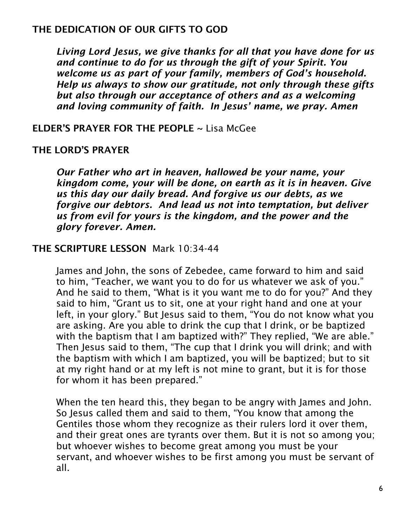## THE DEDICATION OF OUR GIFTS TO GOD

*Living Lord Jesus, we give thanks for all that you have done for us and continue to do for us through the gift of your Spirit. You welcome us as part of your family, members of God's household. Help us always to show our gratitude, not only through these gifts but also through our acceptance of others and as a welcoming and loving community of faith. In Jesus' name, we pray. Amen*

#### ELDER'S PRAYER FOR THE PEOPLE ~ Lisa McGee

## THE LORD'S PRAYER

*Our Father who art in heaven, hallowed be your name, your kingdom come, your will be done, on earth as it is in heaven. Give us this day our daily bread. And forgive us our debts, as we forgive our debtors. And lead us not into temptation, but deliver us from evil for yours is the kingdom, and the power and the glory forever. Amen.*

## THE SCRIPTURE LESSON Mark 10:34-44

James and John, the sons of Zebedee, came forward to him and said to him, "Teacher, we want you to do for us whatever we ask of you." And he said to them, "What is it you want me to do for you?" And they said to him, "Grant us to sit, one at your right hand and one at your left, in your glory." But Jesus said to them, "You do not know what you are asking. Are you able to drink the cup that I drink, or be baptized with the baptism that I am baptized with?" They replied, "We are able." Then Jesus said to them, "The cup that I drink you will drink; and with the baptism with which I am baptized, you will be baptized; but to sit at my right hand or at my left is not mine to grant, but it is for those for whom it has been prepared."

When the ten heard this, they began to be angry with James and John. So Jesus called them and said to them, "You know that among the Gentiles those whom they recognize as their rulers lord it over them, and their great ones are tyrants over them. But it is not so among you; but whoever wishes to become great among you must be your servant, and whoever wishes to be first among you must be servant of all.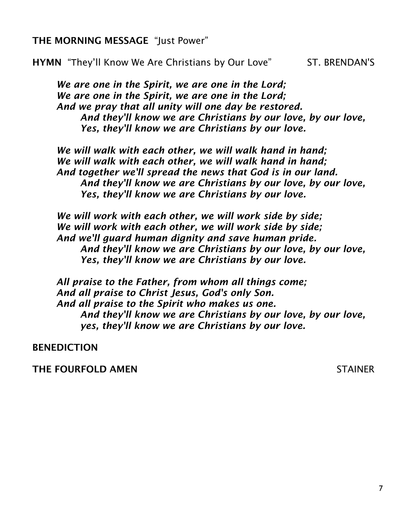#### THE MORNING MESSAGE "Just Power"

HYMN "They'll Know We Are Christians by Our Love" ST. BRENDAN'S

*We are one in the Spirit, we are one in the Lord; We are one in the Spirit, we are one in the Lord; And we pray that all unity will one day be restored. And they'll know we are Christians by our love, by our love, Yes, they'll know we are Christians by our love.*

*We will walk with each other, we will walk hand in hand; We will walk with each other, we will walk hand in hand; And together we'll spread the news that God is in our land. And they'll know we are Christians by our love, by our love, Yes, they'll know we are Christians by our love.*

*We will work with each other, we will work side by side; We will work with each other, we will work side by side; And we'll guard human dignity and save human pride. And they'll know we are Christians by our love, by our love, Yes, they'll know we are Christians by our love.*

*All praise to the Father, from whom all things come; And all praise to Christ Jesus, God's only Son. And all praise to the Spirit who makes us one. And they'll know we are Christians by our love, by our love, yes, they'll know we are Christians by our love.*

BENEDICTION

THE FOURFOLD AMEN STAINER